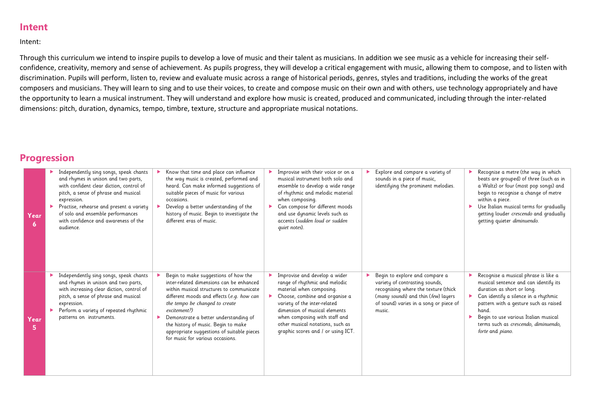## **Intent**

Intent:

Through this curriculum we intend to inspire pupils to develop a love of music and their talent as musicians. In addition we see music as a vehicle for increasing their selfconfidence, creativity, memory and sense of achievement. As pupils progress, they will develop a critical engagement with music, allowing them to compose, and to listen with discrimination. Pupils will perform, listen to, review and evaluate music across a range of historical periods, genres, styles and traditions, including the works of the great composers and musicians. They will learn to sing and to use their voices, to create and compose music on their own and with others, use technology appropriately and have the opportunity to learn a musical instrument. They will understand and explore how music is created, produced and communicated, including through the inter-related dimensions: pitch, duration, dynamics, tempo, timbre, texture, structure and appropriate musical notations.

## **Progression**

| Year<br>6  | Independently sing songs, speak chants<br>and rhymes in unison and two parts,<br>with confident clear diction, control of<br>pitch, a sense of phrase and musical<br>expression.<br>Practise, rehearse and present a variety<br>of solo and ensemble performances<br>with confidence and awareness of the<br>audience. | Know that time and place can influence<br>the way music is created, performed and<br>heard. Can make informed suggestions of<br>suitable pieces of music for various<br>occasions.<br>Develop a better understanding of the<br>history of music. Begin to investigate the<br>different eras of music.                                                                                         | Improvise with their voice or on a<br>musical instrument both solo and<br>ensemble to develop a wide range<br>of rhythmic and melodic material<br>when composing.<br>Can compose for different moods<br>and use dynamic levels such as<br>accents (sudden loud or sudden<br>quiet notes).                | Explore and compare a variety of<br>sounds in a piece of music,<br>identifying the prominent melodies.                                                                                              | Recognise a metre (the way in which<br>beats are grouped) of three (such as in<br>a Waltz) or four (most pop songs) and<br>begin to recognise a change of metre<br>within a piece.<br>Use Italian musical terms for gradually<br>getting louder crescendo and gradually<br>getting quieter diminuendo.    |
|------------|------------------------------------------------------------------------------------------------------------------------------------------------------------------------------------------------------------------------------------------------------------------------------------------------------------------------|-----------------------------------------------------------------------------------------------------------------------------------------------------------------------------------------------------------------------------------------------------------------------------------------------------------------------------------------------------------------------------------------------|----------------------------------------------------------------------------------------------------------------------------------------------------------------------------------------------------------------------------------------------------------------------------------------------------------|-----------------------------------------------------------------------------------------------------------------------------------------------------------------------------------------------------|-----------------------------------------------------------------------------------------------------------------------------------------------------------------------------------------------------------------------------------------------------------------------------------------------------------|
| Year<br>5. | Independently sing songs, speak chants<br>and rhymes in unison and two parts,<br>with increasing clear diction, control of<br>pitch, a sense of phrase and musical<br>expression.<br>Perform a variety of repeated rhythmic<br>patterns on instruments.                                                                | Begin to make suggestions of how the<br>inter-related dimensions can be enhanced<br>within musical structures to communicate<br>different moods and effects (e.g. how can<br>the tempo be changed to create<br>excitement?)<br>Demonstrate a better understanding of<br>the history of music. Begin to make<br>appropriate suggestions of suitable pieces<br>for music for various occasions. | Improvise and develop a wider<br>range of rhythmic and melodic<br>material when composing.<br>Choose, combine and organise a<br>variety of the inter-related<br>dimension of musical elements<br>when composing with staff and<br>other musical notations, such as<br>graphic scores and / or using ICT. | Begin to explore and compare a<br>variety of contrasting sounds,<br>recognising where the texture (thick<br>(many sounds) and thin (few) layers<br>of sound) varies in a song or piece of<br>music. | Recognise a musical phrase is like a<br>musical sentence and can identify its<br>duration as short or long.<br>Can identify a silence in a rhythmic<br>pattern with a gesture such as raised<br>hand.<br>Begin to use various Italian musical<br>terms such as crescendo, diminuendo,<br>forte and piano. |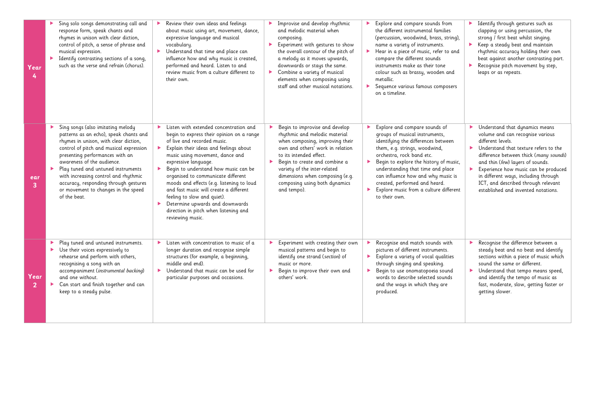| Year                   | Sing solo songs demonstrating call and<br>response form, speak chants and<br>rhymes in unison with clear diction,<br>control of pitch, a sense of phrase and<br>musical expression.<br>Identify contrasting sections of a song,<br>such as the verse and refrain (chorus).                                                                                                                                                | Review their own ideas and feelings<br>about music using art, movement, dance,<br>expressive language and musical<br>vocabulary.<br>Understand that time and place can<br>influence how and why music is created,<br>performed and heard. Listen to and<br>review music from a culture different to<br>their own.                                                                                                                                                                                                                | Improvise and develop rhythmic<br>$\blacktriangleright$<br>and melodic material when<br>composing.<br>Experiment with gestures to show<br>▶.<br>the overall contour of the pitch of<br>a melody as it moves upwards,<br>downwards or stays the same.<br>Combine a variety of musical<br>▶<br>elements when composing using<br>staff and other musical notations. | Explore and compare sounds from<br>▶<br>the different instrumental families<br>(percussion, woodwind, brass, string),<br>name a variety of instruments.<br>Hear in a piece of music, refer to and<br>$\blacktriangleright$<br>compare the different sounds<br>instruments make as their tone<br>colour such as brassy, wooden and<br>metallic.<br>Sequence various famous composers<br>on a timeline. | Identify through gestures such as<br>▸<br>clapping or using percussion, the<br>strong / first beat whilst singing.<br>Keep a steady beat and maintain<br>rhythmic accuracy holding their own<br>beat against another contrasting part.<br>Recognise pitch movement by step,<br>leaps or as repeats.                                                                                |
|------------------------|---------------------------------------------------------------------------------------------------------------------------------------------------------------------------------------------------------------------------------------------------------------------------------------------------------------------------------------------------------------------------------------------------------------------------|----------------------------------------------------------------------------------------------------------------------------------------------------------------------------------------------------------------------------------------------------------------------------------------------------------------------------------------------------------------------------------------------------------------------------------------------------------------------------------------------------------------------------------|------------------------------------------------------------------------------------------------------------------------------------------------------------------------------------------------------------------------------------------------------------------------------------------------------------------------------------------------------------------|-------------------------------------------------------------------------------------------------------------------------------------------------------------------------------------------------------------------------------------------------------------------------------------------------------------------------------------------------------------------------------------------------------|------------------------------------------------------------------------------------------------------------------------------------------------------------------------------------------------------------------------------------------------------------------------------------------------------------------------------------------------------------------------------------|
| ear<br>3               | Sing songs (also imitating melody<br>×.<br>patterns as an echo), speak chants and<br>rhymes in unison, with clear diction,<br>control of pitch and musical expression<br>presenting performances with an<br>awareness of the audience.<br>Play tuned and untuned instruments<br>▶<br>with increasing control and rhythmic<br>accuracy, responding through gestures<br>or movement to changes in the speed<br>of the beat. | Listen with extended concentration and<br>begin to express their opinion on a range<br>of live and recorded music.<br>Explain their ideas and feelings about<br>×<br>music using movement, dance and<br>expressive language.<br>Begin to understand how music can be<br>organised to communicate different<br>moods and effects (e.g. listening to loud<br>and fast music will create a different<br>feeling to slow and quiet).<br>Determine upwards and downwards<br>direction in pitch when listening and<br>reviewing music. | Begin to improvise and develop<br>rhythmic and melodic material<br>when composing, improving their<br>own and others' work in relation<br>to its intended effect.<br>Begin to create and combine a<br>variety of the inter-related<br>dimensions when composing (e.g.<br>composing using both dynamics<br>and tempo).                                            | Explore and compare sounds of<br>groups of musical instruments,<br>identifying the differences between<br>them, e.g. strings, woodwind,<br>orchestra, rock band etc.<br>Begin to explore the history of music,<br>understanding that time and place<br>can influence how and why music is<br>created, performed and heard.<br>Explore music from a culture different<br>to their own.                 | Understand that dynamics means<br>volume and can recognise various<br>different levels.<br>Understand that texture refers to the<br>Þ.<br>difference between thick (many sounds)<br>and thin (few) layers of sounds.<br>Experience how music can be produced<br>in different ways, including through<br>ICT, and described through relevant<br>established and invented notations. |
| Year<br>$\overline{2}$ | Play tuned and untuned instruments.<br>Use their voices expressively to<br>×.<br>rehearse and perform with others,<br>recognising a song with an<br>accompaniment (instrumental backing)<br>and one without.<br>Can start and finish together and can<br>▶<br>keep to a steady pulse.                                                                                                                                     | Listen with concentration to music of a<br>longer duration and recognise simple<br>structures (for example, a beginning,<br>middle and end).<br>Understand that music can be used for<br>▶<br>particular purposes and occasions.                                                                                                                                                                                                                                                                                                 | Experiment with creating their own<br>musical patterns and begin to<br>identify one strand (section) of<br>music or more.<br>Begin to improve their own and<br>▶.<br>others' work.                                                                                                                                                                               | Recognise and match sounds with<br>pictures of different instruments.<br>Explore a variety of vocal qualities<br>through singing and speaking.<br>Begin to use onomatopoeia sound<br>▶<br>words to describe selected sounds<br>and the ways in which they are<br>produced.                                                                                                                            | Recognise the difference between a<br>steady beat and no beat and identify<br>sections within a piece of music which<br>sound the same or different.<br>Understand that tempo means speed,<br>and identify the tempo of music as<br>fast, moderate, slow, getting faster or<br>getting slower.                                                                                     |